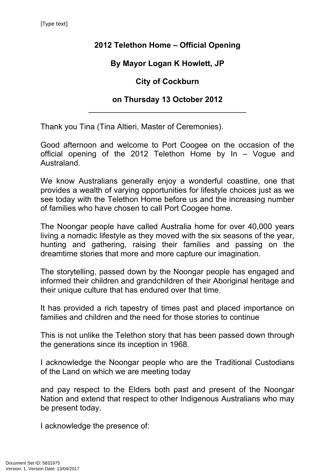## **2012 Telethon Home – Official Opening**

## **By Mayor Logan K Howlett, JP**

### **City of Cockburn**

### **on Thursday 13 October 2012** \_\_\_\_\_\_\_\_\_\_\_\_\_\_\_\_\_\_\_\_\_\_\_\_\_\_\_\_\_\_\_\_\_\_\_\_

Thank you Tina (Tina Altieri, Master of Ceremonies).

Good afternoon and welcome to Port Coogee on the occasion of the official opening of the 2012 Telethon Home by In – Vogue and Australand.

We know Australians generally enjoy a wonderful coastline, one that provides a wealth of varying opportunities for lifestyle choices just as we see today with the Telethon Home before us and the increasing number of families who have chosen to call Port Coogee home.

The Noongar people have called Australia home for over 40,000 years living a nomadic lifestyle as they moved with the six seasons of the year, hunting and gathering, raising their families and passing on the dreamtime stories that more and more capture our imagination.

The storytelling, passed down by the Noongar people has engaged and informed their children and grandchildren of their Aboriginal heritage and their unique culture that has endured over that time.

It has provided a rich tapestry of times past and placed importance on families and children and the need for those stories to continue

This is not unlike the Telethon story that has been passed down through the generations since its inception in 1968.

I acknowledge the Noongar people who are the Traditional Custodians of the Land on which we are meeting today

and pay respect to the Elders both past and present of the Noongar Nation and extend that respect to other Indigenous Australians who may be present today.

I acknowledge the presence of: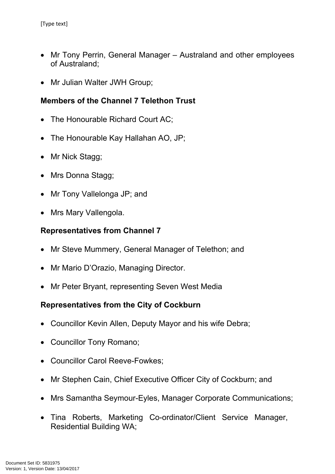- Mr Tony Perrin, General Manager Australand and other employees of Australand;
- Mr Julian Walter JWH Group;

# **Members of the Channel 7 Telethon Trust**

- The Honourable Richard Court AC;
- The Honourable Kay Hallahan AO, JP;
- Mr Nick Stagg;
- Mrs Donna Stagg;
- Mr Tony Vallelonga JP; and
- Mrs Mary Vallengola.

#### **Representatives from Channel 7**

- Mr Steve Mummery, General Manager of Telethon; and
- Mr Mario D'Orazio, Managing Director.
- Mr Peter Bryant, representing Seven West Media

### **Representatives from the City of Cockburn**

- Councillor Kevin Allen, Deputy Mayor and his wife Debra;
- Councillor Tony Romano;
- Councillor Carol Reeve-Fowkes;
- Mr Stephen Cain, Chief Executive Officer City of Cockburn; and
- Mrs Samantha Seymour-Eyles, Manager Corporate Communications;
- Tina Roberts, Marketing Co-ordinator/Client Service Manager, Residential Building WA;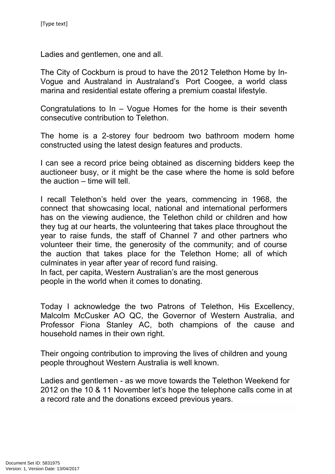Ladies and gentlemen, one and all.

The City of Cockburn is proud to have the 2012 Telethon Home by In-Vogue and Australand in Australand's Port Coogee, a world class marina and residential estate offering a premium coastal lifestyle.

Congratulations to In – Vogue Homes for the home is their seventh consecutive contribution to Telethon.

The home is a 2-storey four bedroom two bathroom modern home constructed using the latest design features and products.

I can see a record price being obtained as discerning bidders keep the auctioneer busy, or it might be the case where the home is sold before the auction – time will tell.

I recall Telethon's held over the years, commencing in 1968, the connect that showcasing local, national and international performers has on the viewing audience, the Telethon child or children and how they tug at our hearts, the volunteering that takes place throughout the year to raise funds, the staff of Channel 7 and other partners who volunteer their time, the generosity of the community; and of course the auction that takes place for the Telethon Home; all of which culminates in year after year of record fund raising.

In fact, per capita, Western Australian's are the most generous people in the world when it comes to donating.

Today I acknowledge the two Patrons of Telethon, His Excellency, Malcolm McCusker AO QC, the Governor of Western Australia, and Professor Fiona Stanley AC, both champions of the cause and household names in their own right.

Their ongoing contribution to improving the lives of children and young people throughout Western Australia is well known.

Ladies and gentlemen - as we move towards the Telethon Weekend for 2012 on the 10 & 11 November let's hope the telephone calls come in at a record rate and the donations exceed previous years.